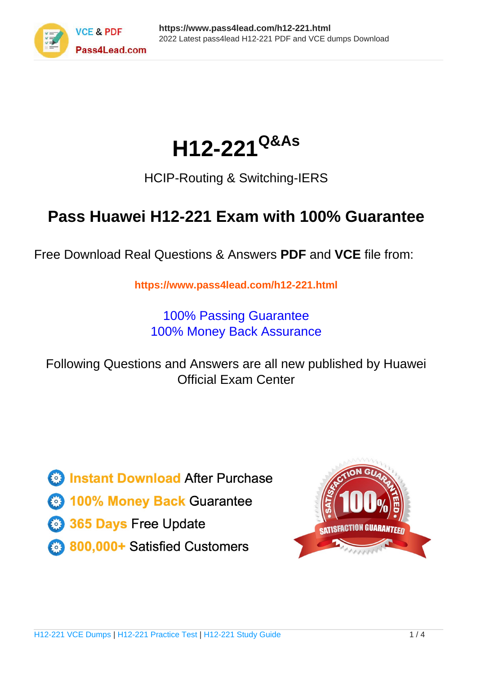

# **H12-221Q&As**

### HCIP-Routing & Switching-IERS

### **Pass Huawei H12-221 Exam with 100% Guarantee**

Free Download Real Questions & Answers **PDF** and **VCE** file from:

**https://www.pass4lead.com/h12-221.html**

100% Passing Guarantee 100% Money Back Assurance

Following Questions and Answers are all new published by Huawei Official Exam Center

**8 Instant Download After Purchase** 

**83 100% Money Back Guarantee** 

- 365 Days Free Update
- 800,000+ Satisfied Customers  $\epsilon$  or

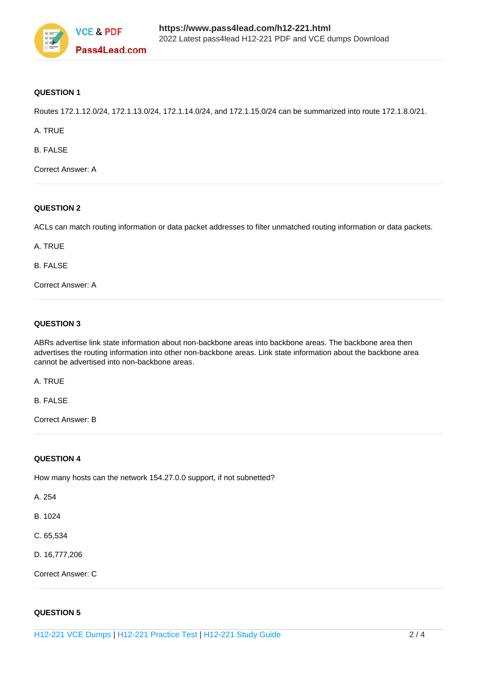

#### **QUESTION 1**

Routes 172.1.12.0/24, 172.1.13.0/24, 172.1.14.0/24, and 172.1.15.0/24 can be summarized into route 172.1.8.0/21.

A. TRUE

B. FALSE

Correct Answer: A

#### **QUESTION 2**

ACLs can match routing information or data packet addresses to filter unmatched routing information or data packets.

A. TRUE

B. FALSE

Correct Answer: A

#### **QUESTION 3**

ABRs advertise link state information about non-backbone areas into backbone areas. The backbone area then advertises the routing information into other non-backbone areas. Link state information about the backbone area cannot be advertised into non-backbone areas.

A. TRUE

B. FALSE

Correct Answer: B

#### **QUESTION 4**

How many hosts can the network 154.27.0.0 support, if not subnetted?

A. 254

B. 1024

- C. 65,534
- D. 16,777,206

Correct Answer: C

#### **QUESTION 5**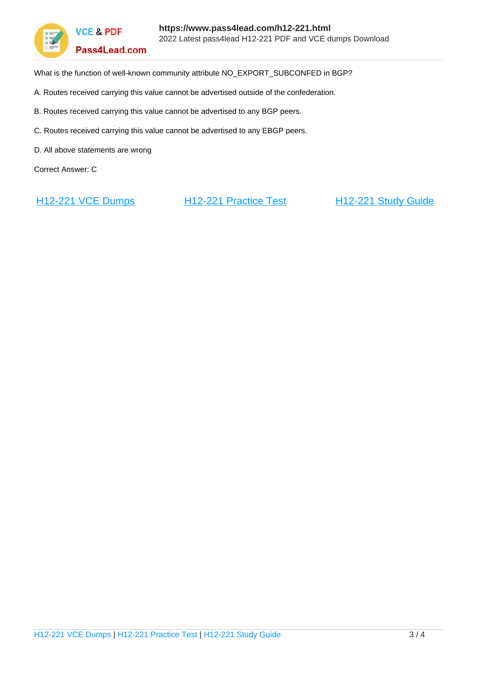

**VCE & PDF** Pass4Lead.com

What is the function of well-known community attribute NO\_EXPORT\_SUBCONFED in BGP?

- A. Routes received carrying this value cannot be advertised outside of the confederation.
- B. Routes received carrying this value cannot be advertised to any BGP peers.
- C. Routes received carrying this value cannot be advertised to any EBGP peers.
- D. All above statements are wrong

Correct Answer: C

[H12-221 VCE Dumps](https://www.pass4lead.com/h12-221.html) [H12-221 Practice Test](https://www.pass4lead.com/h12-221.html) [H12-221 Study Guide](https://www.pass4lead.com/h12-221.html)